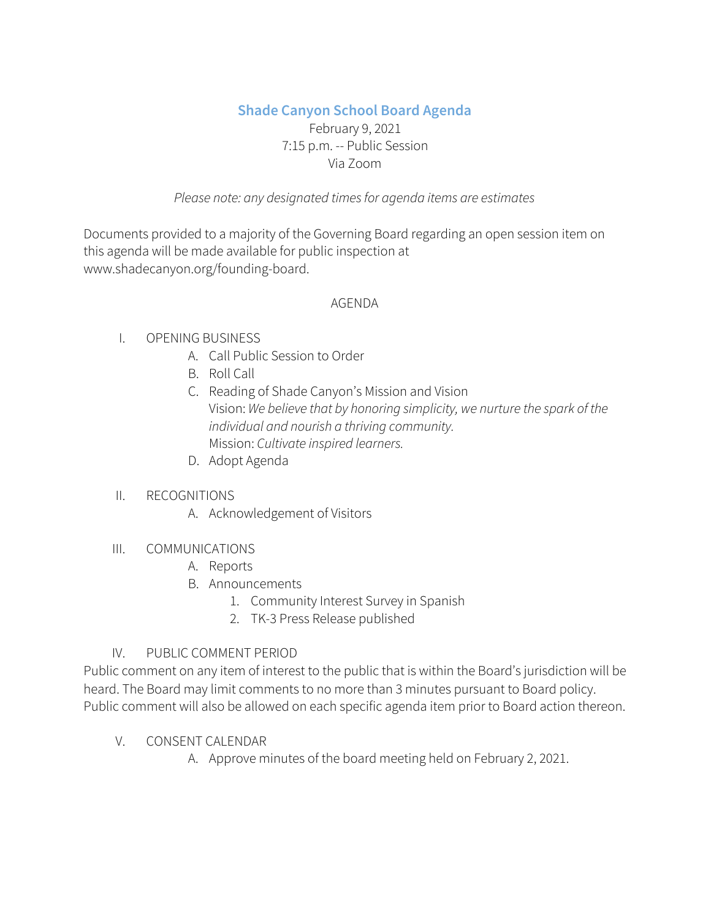# **Shade Canyon School Board Agenda**

## February 9, 2021 7:15 p.m. -- Public Session Via Zoom

## *Please note: any designated timesfor agenda items are estimates*

Documents provided to a majority of the Governing Board regarding an open session item on this agenda will be made available for public inspection at www.shadecanyon.org/founding-board.

### AGENDA

## I. OPENING BUSINESS

- A. Call Public Session to Order
- B. Roll Call
- C. Reading of Shade Canyon's Mission and Vision Vision: *We believe that by honoring simplicity, we nurture the spark of the individual and nourish a thriving community.* Mission: *Cultivate inspired learners.*
- D. Adopt Agenda

## II. RECOGNITIONS

A. Acknowledgement of Visitors

## III. COMMUNICATIONS

- A. Reports
- B. Announcements
	- 1. Community Interest Survey in Spanish
	- 2. TK-3 Press Release published

# IV. PUBLIC COMMENT PERIOD

Public comment on any item of interest to the public that is within the Board's jurisdiction will be heard. The Board may limit comments to no more than 3 minutes pursuant to Board policy. Public comment will also be allowed on each specific agenda item prior to Board action thereon.

## V. CONSENT CALENDAR

A. Approve minutes of the board meeting held on February 2, 2021.